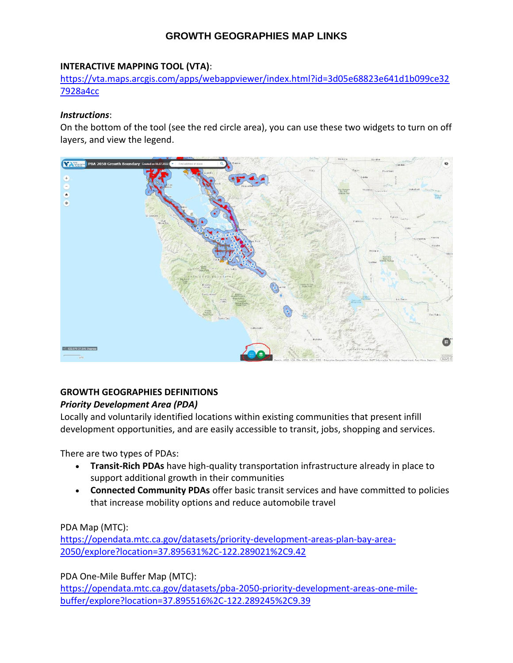# **GROWTH GEOGRAPHIES MAP LINKS**

#### **INTERACTIVE MAPPING TOOL (VTA)**:

[https://vta.maps.arcgis.com/apps/webappviewer/index.html?id=3d05e68823e641d1b099ce32](https://vta.maps.arcgis.com/apps/webappviewer/index.html?id=3d05e68823e641d1b099ce327928a4cc) [7928a4cc](https://vta.maps.arcgis.com/apps/webappviewer/index.html?id=3d05e68823e641d1b099ce327928a4cc)

#### *Instructions*:

On the bottom of the tool (see the red circle area), you can use these two widgets to turn on off layers, and view the legend.



### **GROWTH GEOGRAPHIES DEFINITIONS**

### *Priority Development Area (PDA)*

Locally and voluntarily identified locations within existing communities that present infill development opportunities, and are easily accessible to transit, jobs, shopping and services.

There are two types of PDAs:

- **Transit-Rich PDAs** have high-quality transportation infrastructure already in place to support additional growth in their communities
- **Connected Community PDAs** offer basic transit services and have committed to policies that increase mobility options and reduce automobile travel

PDA Map (MTC):

[https://opendata.mtc.ca.gov/datasets/priority-development-areas-plan-bay-area-](https://opendata.mtc.ca.gov/datasets/priority-development-areas-plan-bay-area-2050/explore?location=37.895631%2C-122.289021%2C9.42)[2050/explore?location=37.895631%2C-122.289021%2C9.42](https://opendata.mtc.ca.gov/datasets/priority-development-areas-plan-bay-area-2050/explore?location=37.895631%2C-122.289021%2C9.42)

PDA One-Mile Buffer Map (MTC):

[https://opendata.mtc.ca.gov/datasets/pba-2050-priority-development-areas-one-mile](https://opendata.mtc.ca.gov/datasets/pba-2050-priority-development-areas-one-mile-buffer/explore?location=37.895516%2C-122.289245%2C9.39)[buffer/explore?location=37.895516%2C-122.289245%2C9.39](https://opendata.mtc.ca.gov/datasets/pba-2050-priority-development-areas-one-mile-buffer/explore?location=37.895516%2C-122.289245%2C9.39)